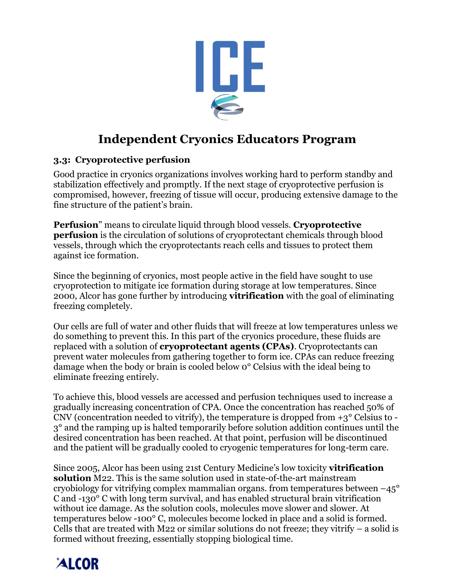

# **Independent Cryonics Educators Program**

#### **3.3: Cryoprotective perfusion**

Good practice in cryonics organizations involves working hard to perform standby and stabilization effectively and promptly. If the next stage of cryoprotective perfusion is compromised, however, freezing of tissue will occur, producing extensive damage to the fine structure of the patient's brain.

**Perfusion**" means to circulate liquid through blood vessels. **Cryoprotective perfusion** is the circulation of solutions of cryoprotectant chemicals through blood vessels, through which the cryoprotectants reach cells and tissues to protect them against ice formation.

Since the beginning of cryonics, most people active in the field have sought to use cryoprotection to mitigate ice formation during storage at low temperatures. Since 2000, Alcor has gone further by introducing **vitrification** with the goal of eliminating freezing completely.

Our cells are full of water and other fluids that will freeze at low temperatures unless we do something to prevent this. In this part of the cryonics procedure, these fluids are replaced with a solution of **cryoprotectant agents (CPAs)**. Cryoprotectants can prevent water molecules from gathering together to form ice. CPAs can reduce freezing damage when the body or brain is cooled below 0° Celsius with the ideal being to eliminate freezing entirely.

To achieve this, blood vessels are accessed and perfusion techniques used to increase a gradually increasing concentration of CPA. Once the concentration has reached 50% of CNV (concentration needed to vitrify), the temperature is dropped from  $+3^{\circ}$  Celsius to -3° and the ramping up is halted temporarily before solution addition continues until the desired concentration has been reached. At that point, perfusion will be discontinued and the patient will be gradually cooled to cryogenic temperatures for long-term care.

Since 2005, Alcor has been using 21st Century Medicine's low toxicity **vitrification solution** M22. This is the same solution used in state-of-the-art mainstream cryobiology for vitrifying complex mammalian organs. from temperatures between  $-45^{\circ}$ C and -130° C with long term survival, and has enabled structural brain vitrification without ice damage. As the solution cools, molecules move slower and slower. At temperatures below -100° C, molecules become locked in place and a solid is formed. Cells that are treated with M22 or similar solutions do not freeze; they vitrify – a solid is formed without freezing, essentially stopping biological time.

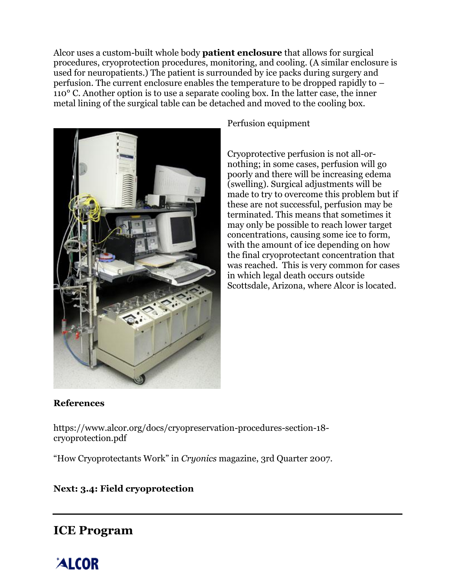Alcor uses a custom-built whole body **patient enclosure** that allows for surgical procedures, cryoprotection procedures, monitoring, and cooling. (A similar enclosure is used for neuropatients.) The patient is surrounded by ice packs during surgery and perfusion. The current enclosure enables the temperature to be dropped rapidly to – 110° C. Another option is to use a separate cooling box. In the latter case, the inner metal lining of the surgical table can be detached and moved to the cooling box.



Perfusion equipment

Cryoprotective perfusion is not all-ornothing; in some cases, perfusion will go poorly and there will be increasing edema (swelling). Surgical adjustments will be made to try to overcome this problem but if these are not successful, perfusion may be terminated. This means that sometimes it may only be possible to reach lower target concentrations, causing some ice to form, with the amount of ice depending on how the final cryoprotectant concentration that was reached. This is very common for cases in which legal death occurs outside Scottsdale, Arizona, where Alcor is located.

### **References**

https://www.alcor.org/docs/cryopreservation-procedures-section-18 cryoprotection.pdf

"How Cryoprotectants Work" in *Cryonics* magazine, 3rd Quarter 2007.

### **Next: 3.4: Field cryoprotection**

# **ICE Program**